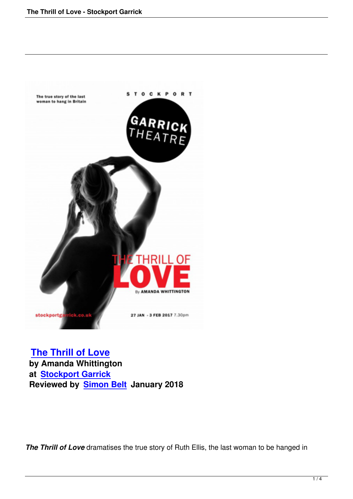

 **The Thrill of Love by Amanda Whittington at Stockport Garrick [Reviewed by Simon](the-thrill-of-love-stockport-garrick.html) Belt January 2018**

*The Thrill of Love* dramatises the true story of Ruth Ellis, the last woman to be hanged in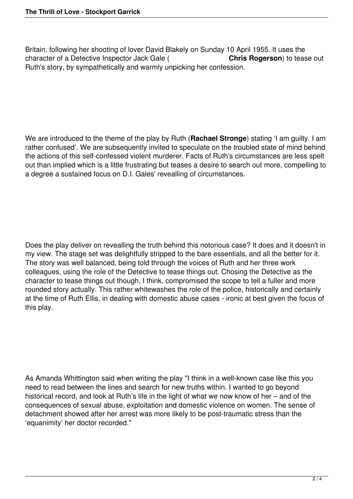Britain, following her shooting of lover David Blakely on Sunday 10 April 1955. It uses the character of a Detective Inspector Jack Gale ( **Chris Rogerson**) to tease out Ruth's story, by sympathetically and warmly unpicking her confession.

We are introduced to the theme of the play by Ruth (**Rachael Stronge**) stating 'I am guilty. I am rather confused'. We are subsequently invited to speculate on the troubled state of mind behind the actions of this self-confessed violent murderer. Facts of Ruth's circumstances are less spelt out than implied which is a little frustrating but teases a desire to search out more, compelling to a degree a sustained focus on D.I. Gales' revealling of circumstances.

Does the play deliver on revealling the truth behind this notorious case? It does and it doesn't in my view. The stage set was delightfully stripped to the bare essentials, and all the better for it. The story was well balanced, being told through the voices of Ruth and her three work colleagues, using the role of the Detective to tease things out. Chosing the Detective as the character to tease things out though, I think, compromised the scope to tell a fuller and more rounded story actually. This rather whitewashes the role of the police, historically and certainly at the time of Ruth Ellis, in dealing with domestic abuse cases - ironic at best given the focus of this play.

As Amanda Whittington said when writing the play "I think in a well-known case like this you need to read between the lines and search for new truths within. I wanted to go beyond historical record, and look at Ruth's life in the light of what we now know of her – and of the consequences of sexual abuse, exploitation and domestic violence on women. The sense of detachment showed after her arrest was more likely to be post-traumatic stress than the 'equanimity' her doctor recorded."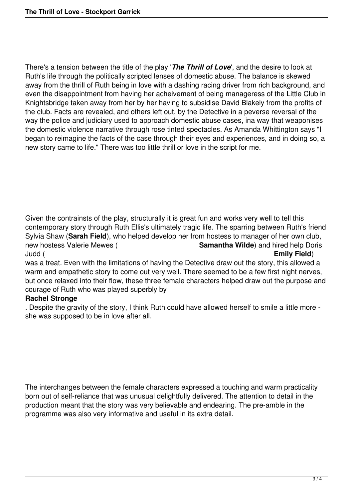There's a tension between the title of the play '*The Thrill of Love*', and the desire to look at Ruth's life through the politically scripted lenses of domestic abuse. The balance is skewed away from the thrill of Ruth being in love with a dashing racing driver from rich background, and even the disappointment from having her acheivement of being manageress of the Little Club in Knightsbridge taken away from her by her having to subsidise David Blakely from the profits of the club. Facts are revealed, and others left out, by the Detective in a peverse reversal of the way the police and judiciary used to approach domestic abuse cases, ina way that weaponises the domestic violence narrative through rose tinted spectacles. As Amanda Whittington says "I began to reimagine the facts of the case through their eyes and experiences, and in doing so, a new story came to life." There was too little thrill or love in the script for me.

Given the contrainsts of the play, structurally it is great fun and works very well to tell this contemporary story through Ruth Ellis's ultimately tragic life. The sparring between Ruth's friend Sylvia Shaw (**Sarah Field**), who helped develop her from hostess to manager of her own club, new hostess Valerie Mewes (**Samantha Wilde**) and hired help Doris **Samantha Wilde**) and hired help Doris Judd ( **Emily Field**) was a treat. Even with the limitations of having the Detective draw out the story, this allowed a

warm and empathetic story to come out very well. There seemed to be a few first night nerves, but once relaxed into their flow, these three female characters helped draw out the purpose and courage of Ruth who was played superbly by

## **Rachel Stronge**

. Despite the gravity of the story, I think Ruth could have allowed herself to smile a little more she was supposed to be in love after all.

The interchanges between the female characters expressed a touching and warm practicality born out of self-reliance that was unusual delightfully delivered. The attention to detail in the production meant that the story was very believable and endearing. The pre-amble in the programme was also very informative and useful in its extra detail.